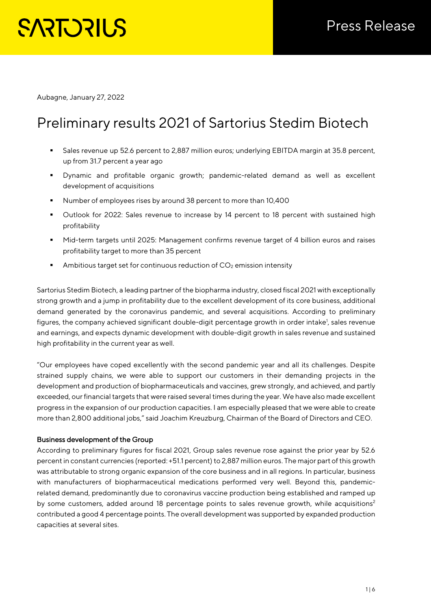# **SARTORILS**

Aubagne, January 27, 2022

# Preliminary results 2021 of Sartorius Stedim Biotech

- Sales revenue up 52.6 percent to 2,887 million euros; underlying EBITDA margin at 35.8 percent, up from 31.7 percent a year ago
- Dynamic and profitable organic growth; pandemic-related demand as well as excellent development of acquisitions
- Number of employees rises by around 38 percent to more than 10,400
- Outlook for 2022: Sales revenue to increase by 14 percent to 18 percent with sustained high profitability
- Mid-term targets until 2025: Management confirms revenue target of 4 billion euros and raises profitability target to more than 35 percent
- Ambitious target set for continuous reduction of  $CO<sub>2</sub>$  emission intensity

Sartorius Stedim Biotech, a leading partner of the biopharma industry, closed fiscal 2021 with exceptionally strong growth and a jump in profitability due to the excellent development of its core business, additional demand generated by the coronavirus pandemic, and several acquisitions. According to preliminary figures, the company achieved significant double-digit percentage growth in order intake<sup>1</sup>, sales revenue and earnings, and expects dynamic development with double-digit growth in sales revenue and sustained high profitability in the current year as well.

"Our employees have coped excellently with the second pandemic year and all its challenges. Despite strained supply chains, we were able to support our customers in their demanding projects in the development and production of biopharmaceuticals and vaccines, grew strongly, and achieved, and partly exceeded, our financial targets that were raised several times during the year. We have also made excellent progress in the expansion of our production capacities. I am especially pleased that we were able to create more than 2,800 additional jobs," said Joachim Kreuzburg, Chairman of the Board of Directors and CEO.

# Business development of the Group

According to preliminary figures for fiscal 2021, Group sales revenue rose against the prior year by 52.6 percent in constant currencies (reported: +51.1 percent) to 2,887 million euros. The major part of this growth was attributable to strong organic expansion of the core business and in all regions. In particular, business with manufacturers of biopharmaceutical medications performed very well. Beyond this, pandemicrelated demand, predominantly due to coronavirus vaccine production being established and ramped up by some customers, added around 18 percentage points to sales revenue growth, while acquisitions<sup>2</sup> contributed a good 4 percentage points. The overall development was supported by expanded production capacities at several sites.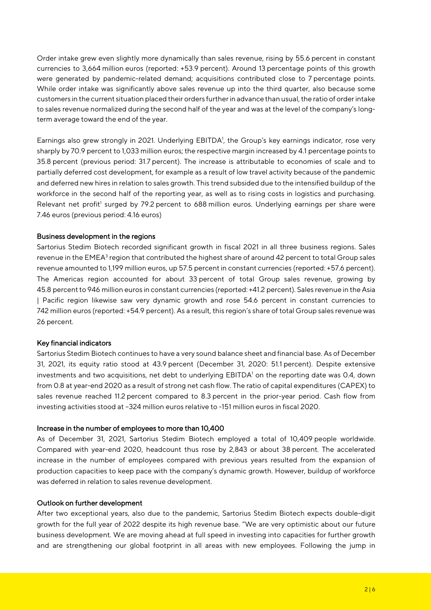Order intake grew even slightly more dynamically than sales revenue, rising by 55.6 percent in constant currencies to 3,664 million euros (reported: +53.9 percent). Around 13 percentage points of this growth were generated by pandemic-related demand; acquisitions contributed close to 7 percentage points. While order intake was significantly above sales revenue up into the third quarter, also because some customers in the current situation placed their orders further in advance than usual, the ratio of order intake to sales revenue normalized during the second half of the year and was at the level of the company's longterm average toward the end of the year.

Earnings also grew strongly in 2021. Underlying EBITDA<sup>1</sup>, the Group's key earnings indicator, rose very sharply by 70.9 percent to 1,033 million euros; the respective margin increased by 4.1 percentage points to 35.8 percent (previous period: 31.7 percent). The increase is attributable to economies of scale and to partially deferred cost development, for example as a result of low travel activity because of the pandemic and deferred new hires in relation to sales growth. This trend subsided due to the intensified buildup of the workforce in the second half of the reporting year, as well as to rising costs in logistics and purchasing. Relevant net profit<sup>1</sup> surged by 79.2 percent to 688 million euros. Underlying earnings per share were 7.46 euros (previous period: 4.16 euros)

#### Business development in the regions

Sartorius Stedim Biotech recorded significant growth in fiscal 2021 in all three business regions. Sales revenue in the EMEA<sup>3</sup> region that contributed the highest share of around 42 percent to total Group sales revenue amounted to 1,199 million euros, up 57.5 percent in constant currencies (reported: +57.6 percent). The Americas region accounted for about 33 percent of total Group sales revenue, growing by 45.8 percent to 946 million euros in constant currencies (reported: +41.2 percent). Sales revenue in the Asia | Pacific region likewise saw very dynamic growth and rose 54.6 percent in constant currencies to 742 million euros (reported: +54.9 percent). As a result, this region's share of total Group sales revenue was 26 percent.

#### Key financial indicators

Sartorius Stedim Biotech continues to have a very sound balance sheet and financial base. As of December 31, 2021, its equity ratio stood at 43.9 percent (December 31, 2020: 51.1 percent). Despite extensive investments and two acquisitions, net debt to underlying EBITDA<sup>1</sup> on the reporting date was 0.4, down from 0.8 at year-end 2020 as a result of strong net cash flow. The ratio of capital expenditures (CAPEX) to sales revenue reached 11.2 percent compared to 8.3 percent in the prior-year period. Cash flow from investing activities stood at –324 million euros relative to -151 million euros in fiscal 2020.

#### Increase in the number of employees to more than 10,400

As of December 31, 2021, Sartorius Stedim Biotech employed a total of 10,409 people worldwide. Compared with year-end 2020, headcount thus rose by 2,843 or about 38 percent. The accelerated increase in the number of employees compared with previous years resulted from the expansion of production capacities to keep pace with the company's dynamic growth. However, buildup of workforce was deferred in relation to sales revenue development.

#### Outlook on further development

After two exceptional years, also due to the pandemic, Sartorius Stedim Biotech expects double-digit growth for the full year of 2022 despite its high revenue base. "We are very optimistic about our future business development. We are moving ahead at full speed in investing into capacities for further growth and are strengthening our global footprint in all areas with new employees. Following the jump in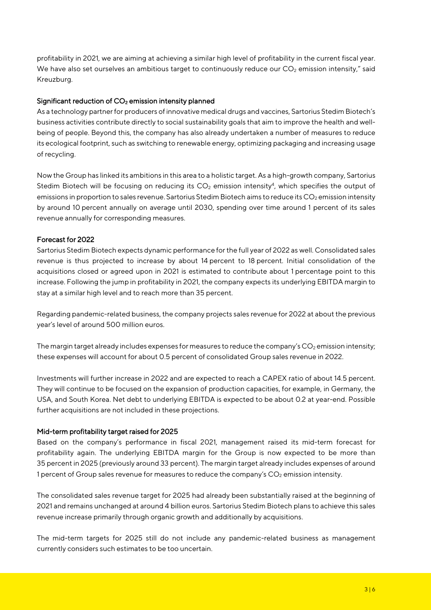profitability in 2021, we are aiming at achieving a similar high level of profitability in the current fiscal year. We have also set ourselves an ambitious target to continuously reduce our  $CO<sub>2</sub>$  emission intensity," said Kreuzburg.

# Significant reduction of CO<sub>2</sub> emission intensity planned

As a technology partner for producers of innovative medical drugs and vaccines, Sartorius Stedim Biotech's business activities contribute directly to social sustainability goals that aim to improve the health and wellbeing of people. Beyond this, the company has also already undertaken a number of measures to reduce its ecological footprint, such as switching to renewable energy, optimizing packaging and increasing usage of recycling.

Now the Group has linked its ambitions in this area to a holistic target. As a high-growth company, Sartorius Stedim Biotech will be focusing on reducing its  $CO<sub>2</sub>$  emission intensity<sup>4</sup>, which specifies the output of emissions in proportion to sales revenue. Sartorius Stedim Biotech aims to reduce its  $CO<sub>2</sub>$  emission intensity by around 10 percent annually on average until 2030, spending over time around 1 percent of its sales revenue annually for corresponding measures.

#### Forecast for 2022

Sartorius Stedim Biotech expects dynamic performance for the full year of 2022 as well. Consolidated sales revenue is thus projected to increase by about 14 percent to 18 percent. Initial consolidation of the acquisitions closed or agreed upon in 2021 is estimated to contribute about 1 percentage point to this increase. Following the jump in profitability in 2021, the company expects its underlying EBITDA margin to stay at a similar high level and to reach more than 35 percent.

Regarding pandemic-related business, the company projects sales revenue for 2022 at about the previous year's level of around 500 million euros.

The margin target already includes expenses for measures to reduce the company's  $CO<sub>2</sub>$  emission intensity; these expenses will account for about 0.5 percent of consolidated Group sales revenue in 2022.

Investments will further increase in 2022 and are expected to reach a CAPEX ratio of about 14.5 percent. They will continue to be focused on the expansion of production capacities, for example, in Germany, the USA, and South Korea. Net debt to underlying EBITDA is expected to be about 0.2 at year-end. Possible further acquisitions are not included in these projections.

#### Mid-term profitability target raised for 2025

Based on the company's performance in fiscal 2021, management raised its mid-term forecast for profitability again. The underlying EBITDA margin for the Group is now expected to be more than 35 percent in 2025 (previously around 33 percent). The margin target already includes expenses of around 1 percent of Group sales revenue for measures to reduce the company's CO<sub>2</sub> emission intensity.

The consolidated sales revenue target for 2025 had already been substantially raised at the beginning of 2021 and remains unchanged at around 4 billion euros. Sartorius Stedim Biotech plans to achieve this sales revenue increase primarily through organic growth and additionally by acquisitions.

The mid-term targets for 2025 still do not include any pandemic-related business as management currently considers such estimates to be too uncertain.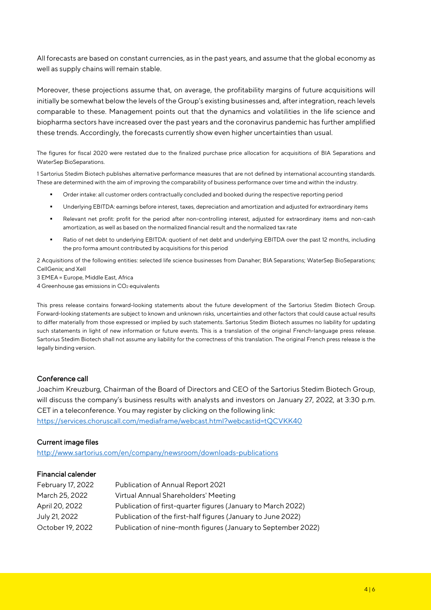All forecasts are based on constant currencies, as in the past years, and assume that the global economy as well as supply chains will remain stable.

Moreover, these projections assume that, on average, the profitability margins of future acquisitions will initially be somewhat below the levels of the Group's existing businesses and, after integration, reach levels comparable to these. Management points out that the dynamics and volatilities in the life science and biopharma sectors have increased over the past years and the coronavirus pandemic has further amplified these trends. Accordingly, the forecasts currently show even higher uncertainties than usual.

The figures for fiscal 2020 were restated due to the finalized purchase price allocation for acquisitions of BIA Separations and WaterSep BioSeparations.

1 Sartorius Stedim Biotech publishes alternative performance measures that are not defined by international accounting standards. These are determined with the aim of improving the comparability of business performance over time and within the industry.

- Order intake: all customer orders contractually concluded and booked during the respective reporting period
- Underlying EBITDA: earnings before interest, taxes, depreciation and amortization and adjusted for extraordinary items
- Relevant net profit: profit for the period after non-controlling interest, adjusted for extraordinary items and non-cash amortization, as well as based on the normalized financial result and the normalized tax rate
- Ratio of net debt to underlying EBITDA: quotient of net debt and underlying EBITDA over the past 12 months, including the pro forma amount contributed by acquisitions for this period

2 Acquisitions of the following entities: selected life science businesses from Danaher; BIA Separations; WaterSep BioSeparations; CellGenix; and Xell

3 EMEA = Europe, Middle East, Africa 4 Greenhouse gas emissions in CO<sub>2</sub> equivalents

This press release contains forward-looking statements about the future development of the Sartorius Stedim Biotech Group. Forward-looking statements are subject to known and unknown risks, uncertainties and other factors that could cause actual results to differ materially from those expressed or implied by such statements. Sartorius Stedim Biotech assumes no liability for updating such statements in light of new information or future events. This is a translation of the original French-language press release. Sartorius Stedim Biotech shall not assume any liability for the correctness of this translation. The original French press release is the legally binding version.

# Conference call

Joachim Kreuzburg, Chairman of the Board of Directors and CEO of the Sartorius Stedim Biotech Group, will discuss the company's business results with analysts and investors on January 27, 2022, at 3:30 p.m. CET in a teleconference. You may register by clicking on the following link: <https://services.choruscall.com/mediaframe/webcast.html?webcastid=tQCVKK40>

#### Current image files

http://www.sartorius.com/en/company/newsroom/downloads-publications

## Financial calender

| February 17, 2022 | Publication of Annual Report 2021                             |
|-------------------|---------------------------------------------------------------|
| March 25, 2022    | Virtual Annual Shareholders' Meeting                          |
| April 20, 2022    | Publication of first-quarter figures (January to March 2022)  |
| July 21, 2022     | Publication of the first-half figures (January to June 2022)  |
| October 19, 2022  | Publication of nine-month figures (January to September 2022) |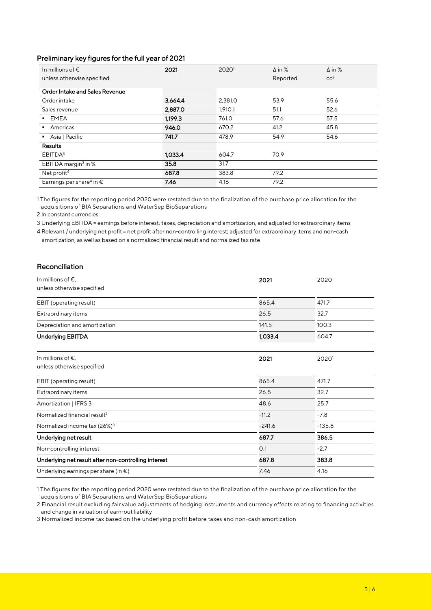# Preliminary key figures for the full year of 2021

| In millions of $\epsilon$                     | 2021    | 20201   | $\Delta$ in % | $\Delta$ in %   |
|-----------------------------------------------|---------|---------|---------------|-----------------|
| unless otherwise specified                    |         |         | Reported      | cc <sup>2</sup> |
| Order Intake and Sales Revenue                |         |         |               |                 |
| Order intake                                  | 3,664.4 | 2,381.0 | 53.9          | 55.6            |
| Sales revenue                                 | 2,887.0 | 1,910.1 | 51.1          | 52.6            |
| <b>EMEA</b>                                   | 1.199.3 | 761.0   | 57.6          | 57.5            |
| Americas                                      | 946.0   | 670.2   | 41.2          | 45.8            |
| Asia   Pacific                                | 741.7   | 478.9   | 54.9          | 54.6            |
| <b>Results</b>                                |         |         |               |                 |
| EBITDA <sup>3</sup>                           | 1.033.4 | 604.7   | 70.9          |                 |
| EBITDA margin <sup>3</sup> in %               | 35.8    | 31.7    |               |                 |
| Net profit <sup>4</sup>                       | 687.8   | 383.8   | 79.2          |                 |
| Earnings per share <sup>4</sup> in $\epsilon$ | 7.46    | 4.16    | 79.2          |                 |

1 The figures for the reporting period 2020 were restated due to the finalization of the purchase price allocation for the acquisitions of BIA Separations and WaterSep BioSeparations

2 In constant currencies

3 Underlying EBITDA = earnings before interest, taxes, depreciation and amortization, and adjusted for extraordinary items

4 Relevant / underlying net profit = net profit after non-controlling interest; adjusted for extraordinary items and non-cash amortization, as well as based on a normalized financial result and normalized tax rate

## Reconciliation

| In millions of $\epsilon$ ,<br>unless otherwise specified | 2021     | 20201    |
|-----------------------------------------------------------|----------|----------|
| EBIT (operating result)                                   | 865.4    | 471.7    |
| Extraordinary items                                       | 26.5     | 32.7     |
| Depreciation and amortization                             | 141.5    | 100.3    |
| Underlying EBITDA                                         | 1,033.4  | 604.7    |
|                                                           |          |          |
| In millions of $\epsilon$ ,<br>unless otherwise specified | 2021     | 20201    |
| EBIT (operating result)                                   | 865.4    | 471.7    |
| Extraordinary items                                       | 26.5     | 32.7     |
| Amortization   IFRS 3                                     | 48.6     | 25.7     |
| Normalized financial result <sup>2</sup>                  | $-11.2$  | $-7.8$   |
| Normalized income tax (26%) <sup>3</sup>                  | $-241.6$ | $-135.8$ |
| Underlying net result                                     | 687.7    | 386.5    |
| Non-controlling interest                                  | O.1      | $-2.7$   |
| Underlying net result after non-controlling interest      | 687.8    | 383.8    |
| Underlying earnings per share (in €)                      | 7.46     | 4.16     |

1 The figures for the reporting period 2020 were restated due to the finalization of the purchase price allocation for the acquisitions of BIA Separations and WaterSep BioSeparations

2 Financial result excluding fair value adjustments of hedging instruments and currency effects relating to financing activities and change in valuation of earn-out liability

3 Normalized income tax based on the underlying profit before taxes and non-cash amortization